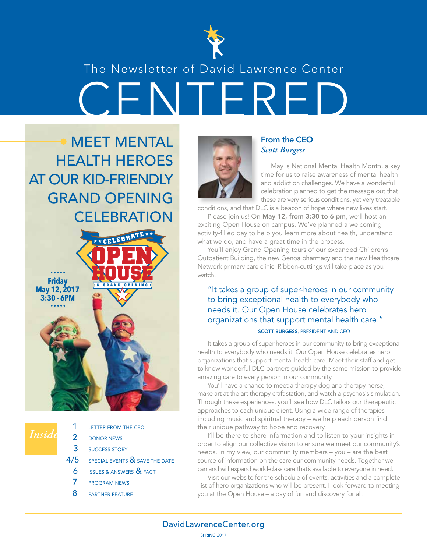

# CENTERED The Newsletter of David Lawrence Center

OPEN HOUSE & GRAND OPENING **C E <sup>L</sup>E<sup>B</sup> <sup>R</sup>AT<sup>E</sup>** MEET MENTAL HEALTH HEROES AT OUR KID-FRIENDLY GRAND OPENING **CELEBRATION Friday May 12, 2017 3:30 - 6PM** ••••• •••••



| 1 LETTER FROM THE CEO                  |
|----------------------------------------|
| 2 DONOR NEWS                           |
| 3 SUCCESS STORY                        |
| $4/5$ special events $8$ save the date |
| <b>6</b> ISSUES & ANSWERS & FACT       |

- 7 PROGRAM NEWS
- 8 **PARTNER FEATURE**



#### From the CEO *Scott Burgess*

May is National Mental Health Month, a key time for us to raise awareness of mental health and addiction challenges. We have a wonderful celebration planned to get the message out that these are very serious conditions, yet very treatable

conditions, and that DLC is a beacon of hope where new lives start.

Please join us! On May 12, from 3:30 to 6 pm, we'll host an exciting Open House on campus. We've planned a welcoming activity-filled day to help you learn more about health, understand what we do, and have a great time in the process.

You'll enjoy Grand Opening tours of our expanded Children's Outpatient Building, the new Genoa pharmacy and the new Healthcare Network primary care clinic. Ribbon-cuttings will take place as you watch!

#### "It takes a group of super-heroes in our community to bring exceptional health to everybody who needs it. Our Open House celebrates hero organizations that support mental health care." – SCOTT BURGESS, PRESIDENT AND CEO

It takes a group of super-heroes in our community to bring exceptional health to everybody who needs it. Our Open House celebrates hero organizations that support mental health care. Meet their staff and get to know wonderful DLC partners guided by the same mission to provide amazing care to every person in our community.

You'll have a chance to meet a therapy dog and therapy horse, make art at the art therapy craft station, and watch a psychosis simulation. Through these experiences, you'll see how DLC tailors our therapeutic approaches to each unique client. Using a wide range of therapies – including music and spiritual therapy – we help each person find their unique pathway to hope and recovery.

I'll be there to share information and to listen to your insights in order to align our collective vision to ensure we meet our community's needs. In my view, our community members – you – are the best source of information on the care our community needs. Together we can and will expand world-class care that's available to everyone in need.

Visit our website for the schedule of events, activities and a complete list of hero organizations who will be present. I look forward to meeting you at the Open House – a day of fun and discovery for all!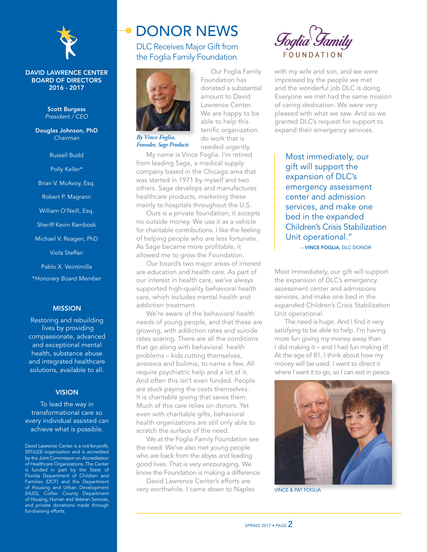

#### DAVID LAWRENCE CENTER BOARD OF DIRECTORS 2016 - 2017

Scott Burgess *President / CEO*

Douglas Johnson, PhD *Chairman*

Russell Budd

Polly Keller\*

Brian V. McAvoy, Esq.

Robert P. Magrann

William O'Neill, Esq.

Sheriff Kevin Rambosk

Michael V. Reagen, PhD

Viola Steffan

Pablo X. Veintimilla \**Honorary Board Member*

#### MISSION

Restoring and rebuilding lives by providing compassionate, advanced and exceptional mental health, substance abuse and integrated healthcare solutions, available to all.

#### **VISION**

To lead the way in transformational care so every individual assisted can achieve what is possible.

David Lawrence Center is a not-for-profit, 501(c)(3) organization and is accredited by the Joint Commission on Accreditation of Healthcare Organizations. The Center is funded in part by the State of Florida Department of Children and Families (DCF) and the Department of Housing and Urban Development (HUD), Collier County Department of Housing, Human and Veteran Services, and private donations made through fundraising efforts.

### DONOR NEWS

DLC Receives Major Gift from the Foglia Family Foundation

Our Foglia Family

Foundation has donated a substantial amount to David Lawrence Center. We are happy to be able to help this terrific organization do work that is needed urgently.



*By Vince Foglia, Founder, Sage Products*

My name is Vince Foglia. I'm retired from leading Sage, a medical supply company based in the Chicago area that was started in 1971 by myself and two others. Sage develops and manufactures healthcare products, marketing these mainly to hospitals throughout the U.S.

Ours is a private foundation; it accepts no outside money. We use it as a vehicle for charitable contributions. I like the feeling of helping people who are less fortunate. As Sage became more profitable, it allowed me to grow the Foundation.

Our board's two major areas of interest are education and health care. As part of our interest in health care, we've always supported high-quality behavioral health care, which includes mental health and addiction treatment.

We're aware of the behavioral health needs of young people, and that these are growing, with addiction rates and suicide rates soaring. There are all the conditions that go along with behavioral health problems – kids cutting themselves, anorexia and bulimia, to name a few. All require psychiatric help and a lot of it. And often this isn't even funded. People are stuck paying the costs themselves. It is charitable giving that saves them. Much of this care relies on donors. Yet even with charitable gifts, behavioral health organizations are still only able to scratch the surface of the need.

We at the Foglia Family Foundation see the need. We've also met young people who are back from the abyss and leading good lives. That is very encouraging. We know the Foundation is making a difference.

David Lawrence Center's efforts are very worthwhile. I came down to Naples



with my wife and son, and we were impressed by the people we met and the wonderful job DLC is doing. Everyone we met had the same mission of caring dedication. We were very pleased with what we saw. And so we granted DLC's request for support to expand their emergency services.

Most immediately, our gift will support the expansion of DLC's emergency assessment center and admission services, and make one bed in the expanded Children's Crisis Stabilization Unit operational." – VINCE FOGLIA, DLC DONOR

Most immediately, our gift will support the expansion of DLC's emergency assessment center and admissions services, and make one bed in the expanded Children's Crisis Stabilization Unit operational.

The need is huge. And I find it very satisfying to be able to help. I'm having more fun giving my money away than I did making it – and I had fun making it! At the age of 81, I think about how my money will be used. I want to direct it where I want it to go, so I can rest in peace.



VINCE & PAT FOGLIA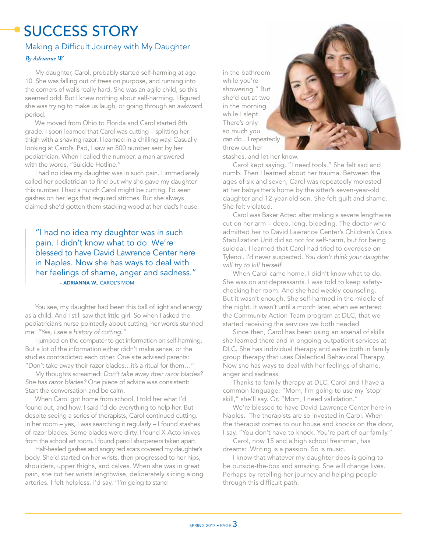## SUCCESS STORY

#### Making a Difficult Journey with My Daughter

#### *By Adrianne W.*

My daughter, Carol, probably started self-harming at age 10. She was falling out of trees on purpose, and running into the corners of walls really hard. She was an agile child, so this seemed odd. But I knew nothing about self-harming. I figured she was trying to make us laugh, or going through an awkward period.

We moved from Ohio to Florida and Carol started 8th grade. I soon learned that Carol was cutting – splitting her thigh with a shaving razor. I learned in a chilling way. Casually looking at Carol's iPad, I saw an 800 number sent by her pediatrician. When I called the number, a man answered with the words, "Suicide Hotline."

I had no idea my daughter was in such pain. I immediately called her pediatrician to find out why she gave my daughter this number. I had a hunch Carol might be cutting. I'd seen gashes on her legs that required stitches. But she always claimed she'd gotten them stacking wood at her dad's house.

 – ADRIANNA W., CAROL'S MOM "I had no idea my daughter was in such pain. I didn't know what to do. We're blessed to have David Lawrence Center here in Naples. Now she has ways to deal with her feelings of shame, anger and sadness."

You see, my daughter had been this ball of light and energy as a child. And I still saw that little girl. So when I asked the pediatrician's nurse pointedly about cutting, her words stunned me: *"Yes, I see a history of cutting."*

I jumped on the computer to get information on self-harming. But a lot of the information either didn't make sense, or the studies contradicted each other. One site advised parents: "Don't take away their razor blades…it's a ritual for them…"

My thoughts screamed: *Don't take away their razor blades? She has razor blades?* One piece of advice was consistent: Start the conversation and be calm.

When Carol got home from school, I told her what I'd found out, and how. I said I'd do everything to help her. But despite seeing a series of therapists, Carol continued cutting. In her room – yes, I was searching it regularly – I found stashes of razor blades. Some blades were dirty. I found X-Acto knives from the school art room. I found pencil sharpeners taken apart.

Half-healed gashes and angry red scars covered my daughter's body. She'd started on her wrists, then progressed to her hips, shoulders, upper thighs, and calves. When she was in great pain, she cut her wrists lengthwise, deliberately slicing along arteries. I felt helpless. I'd say, "I'm going to stand

in the bathroom while you're showering." But she'd cut at two in the morning while I slept. There's only so much you can do…I repeatedly threw out her



stashes, and let her know.

Carol kept saying, "I need tools." She felt sad and numb. Then I learned about her trauma. Between the ages of six and seven, Carol was repeatedly molested at her babysitter's home by the sitter's seven-year-old daughter and 12-year-old son. She felt guilt and shame. She felt violated.

Carol was Baker Acted after making a severe lengthwise cut on her arm – deep, long, bleeding. The doctor who admitted her to David Lawrence Center's Children's Crisis Stabilization Unit did so not for self-harm, but for being suicidal. I learned that Carol had tried to overdose on Tylenol. I'd never suspected. *You don't think your daughter will try to kill herself.*

When Carol came home, I didn't know what to do. She was on antidepressants. I was told to keep safetychecking her room. And she had weekly counseling. But it wasn't enough. She self-harmed in the middle of the night. It wasn't until a month later, when we entered the Community Action Team program at DLC, that we started receiving the services we both needed.

Since then, Carol has been using an arsenal of skills she learned there and in ongoing outpatient services at DLC. She has individual therapy and we're both in family group therapy that uses Dialectical Behavioral Therapy. Now she has ways to deal with her feelings of shame, anger and sadness.

Thanks to family therapy at DLC, Carol and I have a common language: "Mom, I'm going to use my 'stop' skill," she'll say. Or, "Mom, I need validation."

We're blessed to have David Lawrence Center here in Naples. The therapists are so invested in Carol. When the therapist comes to our house and knocks on the door, I say, "You don't have to knock. You're part of our family."

Carol, now 15 and a high school freshman, has dreams: Writing is a passion. So is music.

I know that whatever my daughter does is going to be outside-the-box and amazing. She will change lives. Perhaps by retelling her journey and helping people through this difficult path.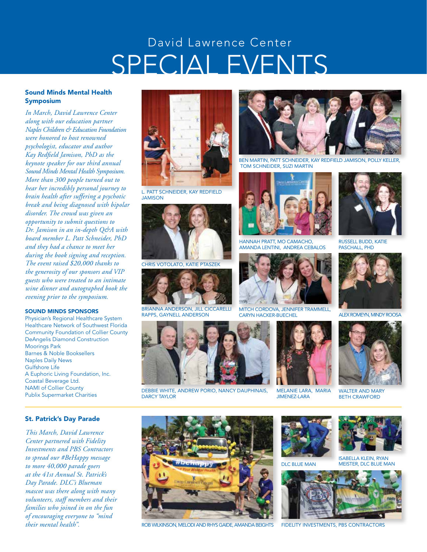## SPECIAL EVENTS David Lawrence Center

#### Sound Minds Mental Health Symposium

*In March, David Lawrence Center along with our education partner Naples Children & Education Foundation were honored to host renowned psychologist, educator and author Kay Redfield Jamison, PhD as the keynote speaker for our third annual Sound Minds Mental Health Symposium. More than 300 people turned out to hear her incredibly personal journey to brain health after suffering a psychotic break and being diagnosed with bipolar disorder. The crowd was given an opportunity to submit questions to Dr. Jamison in an in-depth Q&A with board member L. Patt Schneider, PhD and they had a chance to meet her during the book signing and reception. The event raised \$20,000 thanks to the generosity of our sponsors and VIP guests who were treated to an intimate wine dinner and autographed book the evening prior to the symposium.* 

#### SOUND MINDS SPONSORS

Physician's Regional Healthcare System Healthcare Network of Southwest Florida Community Foundation of Collier County DeAngelis Diamond Construction Moorings Park Barnes & Noble Booksellers Naples Daily News Gulfshore Life A Euphoric Living Foundation, Inc. Coastal Beverage Ltd. NAMI of Collier County Publix Supermarket Charities

#### St. Patrick's Day Parade

*This March, David Lawrence Center partnered with Fidelity Investments and PBS Contractors to spread our #BeHappy message to more 40,000 parade goers at the 41st Annual St. Patrick's Day Parade. DLC's Blueman mascot was there along with many volunteers, staff members and their families who joined in on the fun of encouraging everyone to "mind their mental health".*



L. PATT SCHNEIDER, KAY REDFIELD **JAMISON** 



CHRIS VOTOLATO, KATIE PTASZEI



BRIANNA ANDERSON, JILL CICCARELLI RAPPS, GAYNELL ANDERSON



DEBBIE WHITE, ANDREW PORIO, NANCY DAUPHINAIS, DARCY TAYLOR



BEN MARTIN, PATT SCHNEIDER, KAY REDFIELD JAMISON, POLLY KELLER, TOM SCHNEIDER, SUZI MARTIN



HANNAH PRATT, MO CAMACHO, AMANDA LENTINI, ANDREA CEBALOS



MITCH CORDOVA, JENNIFER TRAMMELL, CARYN HACKER-BUECHEL



MELANIE LARA, MARIA JIMENEZ-LARA



RUSSELL BUDD, KATIE PASCHALL, PHD



ALEX ROMEYN, MINDY ROOSA



WALTER AND MARY BETH CRAWFORD



ROB WILKINSON, MELODI AND RHYS GAIDE, AMANDA BEIGHTS FIDELITY INVESTMENTS, PBS CONTRACTORS







ISABELLA KLEIN, RYAN MEISTER, DLC BLUE MAN

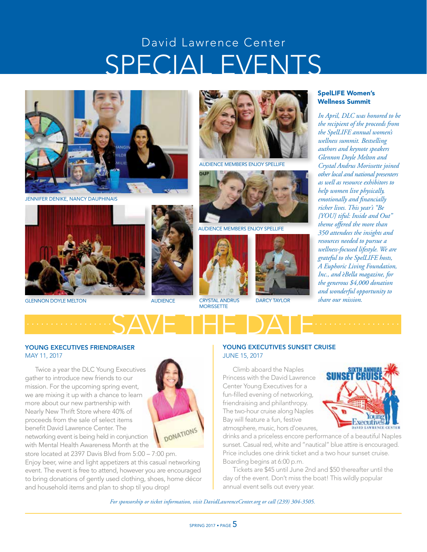## SPECIAL EVENTS David Lawrence Center



JENNIFER DENIKE, NANCY DAUPHINAIS



**GLENNON DOYLE MELTON AUDIENCE** CRYSTAL ANDRUS





AUDIENCE MEMBERS ENJOY SPELLIFE



AUDIENCE MEMBERS ENJOY SPELLIFE



DARCY TAYLOR

#### SpelLIFE Women's Wellness Summit

*In April, DLC was honored to be the recipient of the proceeds from the SpelLIFE annual women's wellness summit. Bestselling authors and keynote speakers Glennon Doyle Melton and Crystal Andrus Morissette joined other local and national presenters as well as resource exhibitors to help women live physically, emotionally and financially richer lives. This year's "Be {YOU} tiful: Inside and Out" theme offered the more than 350 attendees the insights and resources needed to pursue a wellness-focused lifestyle. We are grateful to the SpelLIFE hosts, A Euphoric Living Foundation, Inc., and èBella magazine, for the generous \$4,000 donation and wonderful opportunity to share our mission.* 

SAVE THE DATE *.................. ..................*

MORISSETTE

#### YOUNG EXECUTIVES FRIENDRAISER MAY 11, 2017

Twice a year the DLC Young Executives gather to introduce new friends to our mission. For the upcoming spring event, we are mixing it up with a chance to learn more about our new partnership with Nearly New Thrift Store where 40% of proceeds from the sale of select items benefit David Lawrence Center. The networking event is being held in conjunction with Mental Health Awareness Month at the



store located at 2397 Davis Blvd from 5:00 – 7:00 pm. Enjoy beer, wine and light appetizers at this casual networking event. The event is free to attend, however you are encouraged to bring donations of gently used clothing, shoes, home décor and household items and plan to shop til you drop!

#### YOUNG EXECUTIVES SUNSET CRUISE JUNE 15, 2017

Climb aboard the Naples Princess with the David Lawrence Center Young Executives for a fun-filled evening of networking, friendraising and philanthropy. The two-hour cruise along Naples Bay will feature a fun, festive atmosphere, music, hors d'oeuvres,



drinks and a priceless encore performance of a beautiful Naples sunset. Casual red, white and "nautical" blue attire is encouraged. Price includes one drink ticket and a two hour sunset cruise. Boarding begins at 6:00 p.m.

Tickets are \$45 until June 2nd and \$50 thereafter until the day of the event. Don't miss the boat! This wildly popular annual event sells out every year.

*For sponsorship or ticket information, visit DavidLawrenceCenter.org or call (239) 304-3505.*

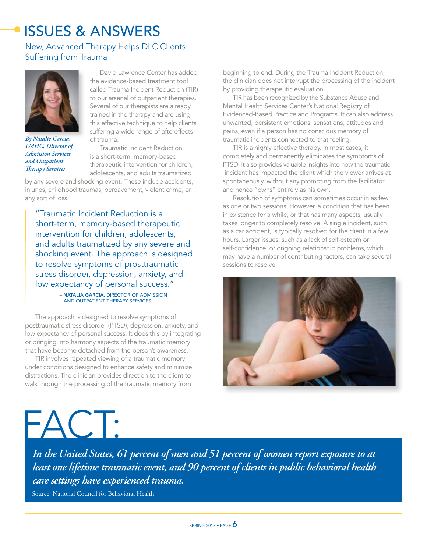## ISSUES & ANSWERS

New, Advanced Therapy Helps DLC Clients Suffering from Trauma



*By Natalie Garcia, LMHC, Director of Admission Services and Outpatient Therapy Services*

David Lawrence Center has added the evidence-based treatment tool called Trauma Incident Reduction (TIR) to our arsenal of outpatient therapies. Several of our therapists are already trained in the therapy and are using this effective technique to help clients suffering a wide range of aftereffects of trauma.

Traumatic Incident Reduction is a short-term, memory-based therapeutic intervention for children, adolescents, and adults traumatized

by any severe and shocking event. These include accidents, injuries, childhood traumas, bereavement, violent crime, or any sort of loss.

"Traumatic Incident Reduction is a short-term, memory-based therapeutic intervention for children, adolescents, and adults traumatized by any severe and shocking event. The approach is designed to resolve symptoms of prosttraumatic stress disorder, depression, anxiety, and low expectancy of personal success."

#### – NATALIA GARCIA, DIRECTOR OF ADMISSION AND OUTPATIENT THERAPY SERVICES

The approach is designed to resolve symptoms of posttraumatic stress disorder (PTSD), depression, anxiety, and low expectancy of personal success. It does this by integrating or bringing into harmony aspects of the traumatic memory that have become detached from the person's awareness.

TIR involves repeated viewing of a traumatic memory under conditions designed to enhance safety and minimize distractions. The clinician provides direction to the client to walk through the processing of the traumatic memory from

beginning to end. During the Trauma Incident Reduction, the clinician does not interrupt the processing of the incident by providing therapeutic evaluation.

TIR has been recognized by the Substance Abuse and Mental Health Services Center's National Registry of Evidenced-Based Practice and Programs. It can also address unwanted, persistent emotions, sensations, attitudes and pains, even if a person has no conscious memory of traumatic incidents connected to that feeling.

TIR is a highly effective therapy. In most cases, it completely and permanently eliminates the symptoms of PTSD. It also provides valuable insights into how the traumatic incident has impacted the client which the viewer arrives at spontaneously, without any prompting from the facilitator and hence "owns" entirely as his own.

Resolution of symptoms can sometimes occur in as few as one or two sessions. However, a condition that has been in existence for a while, or that has many aspects, usually takes longer to completely resolve. A single incident, such as a car accident, is typically resolved for the client in a few hours. Larger issues, such as a lack of self-esteem or self-confidence, or ongoing relationship problems, which may have a number of contributing factors, can take several sessions to resolve.





*In the United States, 61 percent of men and 51 percent of women report exposure to at least one lifetime traumatic event, and 90 percent of clients in public behavioral health care settings have experienced trauma.*

Source: National Council for Behavioral Health

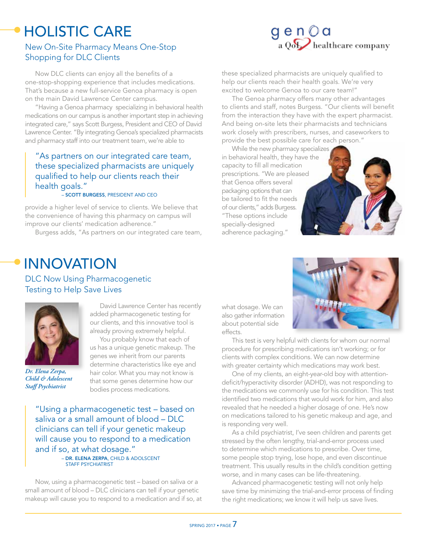### HOLISTIC CARE New On-Site Pharmacy Means One-Stop

Shopping for DLC Clients



Now DLC clients can enjoy all the benefits of a one-stop-shopping experience that includes medications. That's because a new full-service Genoa pharmacy is open on the main David Lawrence Center campus.

"Having a Genoa pharmacy specializing in behavioral health medications on our campus is another important step in achieving integrated care," says Scott Burgess, President and CEO of David Lawrence Center. "By integrating Genoa's specialized pharmacists and pharmacy staff into our treatment team, we're able to

#### "As partners on our integrated care team, these specialized pharmacists are uniquely qualified to help our clients reach their health goals."

#### – SCOTT BURGESS, PRESIDENT AND CEO

provide a higher level of service to clients. We believe that the convenience of having this pharmacy on campus will improve our clients' medication adherence."

Burgess adds, "As partners on our integrated care team,

these specialized pharmacists are uniquely qualified to help our clients reach their health goals. We're very excited to welcome Genoa to our care team!"

The Genoa pharmacy offers many other advantages to clients and staff, notes Burgess. "Our clients will benefit from the interaction they have with the expert pharmacist. And being on-site lets their pharmacists and technicians work closely with prescribers, nurses, and caseworkers to provide the best possible care for each person."

While the new pharmacy specializes in behavioral health, they have the capacity to fill all medication prescriptions. "We are pleased that Genoa offers several packaging options that can be tailored to fit the needs of our clients," adds Burgess. "These options include specially-designed adherence packaging."



DLC Now Using Pharmacogenetic Testing to Help Save Lives



*Dr. Elena Zerpa, Child & Adolescent Staff Psychiatrist*

David Lawrence Center has recently added pharmacogenetic testing for our clients, and this innovative tool is already proving extremely helpful.

You probably know that each of us has a unique genetic makeup. The genes we inherit from our parents determine characteristics like eye and hair color. What you may not know is that some genes determine how our bodies process medications.

"Using a pharmacogenetic test – based on saliva or a small amount of blood – DLC clinicians can tell if your genetic makeup will cause you to respond to a medication and if so, at what dosage." – DR. ELENA ZERPA, CHILD & ADOLSCENT STAFF PSYCHIATRIST

Now, using a pharmacogenetic test – based on saliva or a small amount of blood – DLC clinicians can tell if your genetic makeup will cause you to respond to a medication and if so, at



what dosage. We can also gather information about potential side effects.

This test is very helpful with clients for whom our normal procedure for prescribing medications isn't working; or for clients with complex conditions. We can now determine with greater certainty which medications may work best.

One of my clients, an eight-year-old boy with attentiondeficit/hyperactivity disorder (ADHD), was not responding to the medications we commonly use for his condition. This test identified two medications that would work for him, and also revealed that he needed a higher dosage of one. He's now on medications tailored to his genetic makeup and age, and is responding very well.

As a child psychiatrist, I've seen children and parents get stressed by the often lengthy, trial-and-error process used to determine which medications to prescribe. Over time, some people stop trying, lose hope, and even discontinue treatment. This usually results in the child's condition getting worse, and in many cases can be life-threatening.

Advanced pharmacogenetic testing will not only help save time by minimizing the trial-and-error process of finding the right medications; we know it will help us save lives.